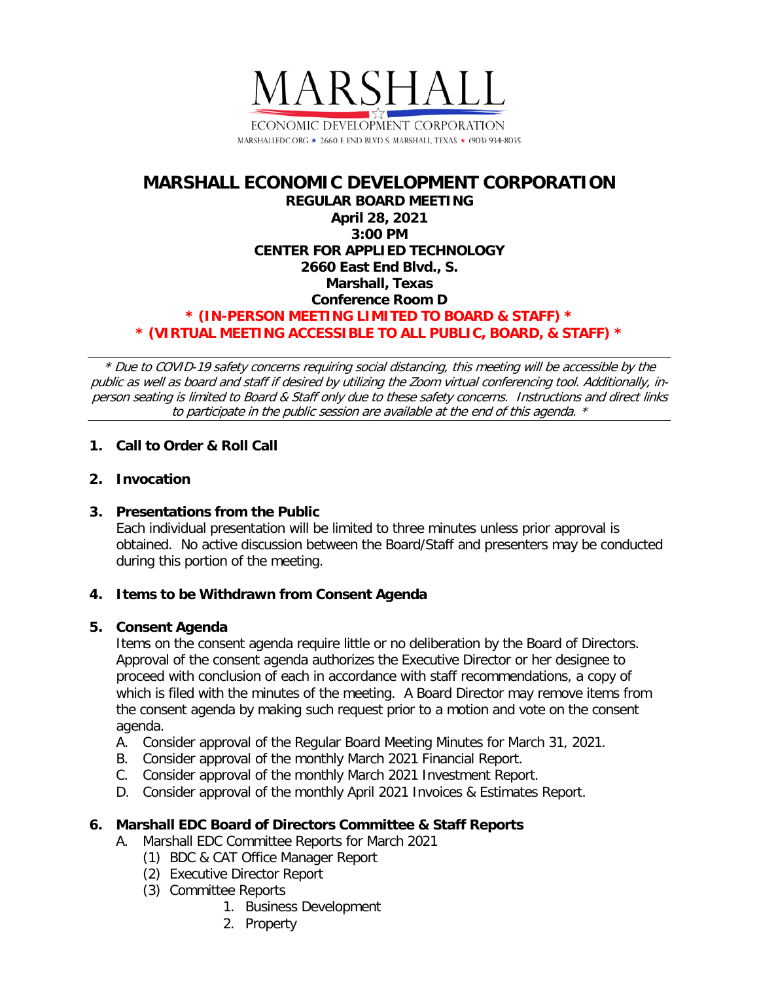

# **MARSHALL ECONOMIC DEVELOPMENT CORPORATION REGULAR BOARD MEETING April 28, 2021 3:00 PM CENTER FOR APPLIED TECHNOLOGY 2660 East End Blvd., S. Marshall, Texas Conference Room D \* (IN-PERSON MEETING LIMITED TO BOARD & STAFF) \* \* (VIRTUAL MEETING ACCESSIBLE TO ALL PUBLIC, BOARD, & STAFF) \***

\* Due to COVID-19 safety concerns requiring social distancing, this meeting will be accessible by the public as well as board and staff if desired by utilizing the Zoom virtual conferencing tool. Additionally, inperson seating is limited to Board & Staff only due to these safety concerns. Instructions and direct links to participate in the public session are available at the end of this agenda. \*

## **1. Call to Order & Roll Call**

## **2. Invocation**

## **3. Presentations from the Public**

Each individual presentation will be limited to three minutes unless prior approval is obtained. No active discussion between the Board/Staff and presenters may be conducted during this portion of the meeting.

## **4. Items to be Withdrawn from Consent Agenda**

## **5. Consent Agenda**

Items on the consent agenda require little or no deliberation by the Board of Directors. Approval of the consent agenda authorizes the Executive Director or her designee to proceed with conclusion of each in accordance with staff recommendations, a copy of which is filed with the minutes of the meeting. A Board Director may remove items from the consent agenda by making such request prior to a motion and vote on the consent agenda.

- A. Consider approval of the Regular Board Meeting Minutes for March 31, 2021.
- B. Consider approval of the monthly March 2021 Financial Report.
- C. Consider approval of the monthly March 2021 Investment Report.
- D. Consider approval of the monthly April 2021 Invoices & Estimates Report.

## **6. Marshall EDC Board of Directors Committee & Staff Reports**

- A. Marshall EDC Committee Reports for March 2021
	- (1) BDC & CAT Office Manager Report
	- (2) Executive Director Report
	- (3) Committee Reports
		- 1. Business Development
		- 2. Property